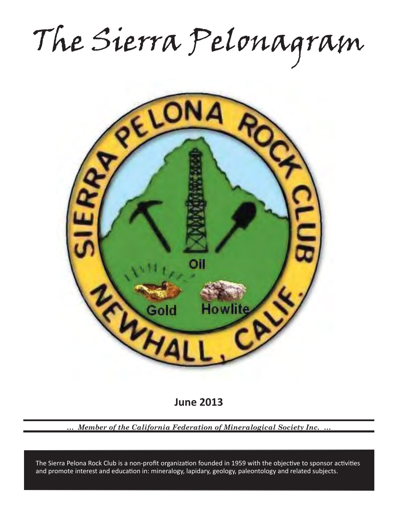The Sierra Pelonagram



**June 2013**

*… Member of the California Federation of Mineralogical Society Inc. …*

and promote interest and education in: mineralogy, lapidary, geology, paleontology and related subjects. The Sierra Pelona Rock Club is a non-profit organization founded in 1959 with the objective to sponsor activities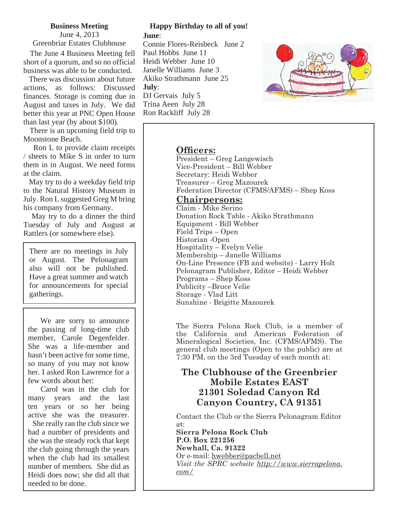#### **Business Meeting**

June 4, 2013 Greenbriar Estates Clubhouse

 The June 4 Business Meeting fell short of a quorum, and so no official business was able to be conducted.

 There was discussion about future actions, as follows: Discussed finances. Storage is coming due in August and taxes in July. We did better this year at PNC Open House than last year (by about \$100).

 There is an upcoming field trip to Moonstone Beach.

 Ron L to provide claim receipts / sheets to Mike S in order to turn them in in August. We need forms at the claim.

 May try to do a weekday field trip to the Natural History Museum in July. Ron L suggested Greg M bring his company from Germany.

 May try to do a dinner the third Tuesday of July and August at Rattlers (or somewhere else).

There are no meetings in July or August. The Pelonagram also will not be published. Have a great summer and watch for announcements for special gatherings.

 We are sorry to announce the passing of long-time club member, Carole Degenfelder. She was a life-member and hasn't been active for some time, so many of you may not know her. I asked Ron Lawrence for a few words about her:

 Carol was in the club for many years and the last ten years or so her being active she was the treasurer.

 She really ran the club since we had a number of presidents and she was the steady rock that kept the club going through the years when the club had its smallest number of members. She did as Heidi does now; she did all that needed to be done.

### **Happy Birthday to all of you! June**:

Connie Flores-Reisbeck June 2 Paul Hobbs June 11 Heidi Webber June 10 Janelle Williams June 3 Akiko Strathmann June 25 **July**: DJ Gervais July 5 Trina Aeen July 28 Ron Rackliff July 28



#### **Officers:**

President – Greg Langewisch Vice-President – Bill Webber Secretary: Heidi Webber Treasurer – Greg Mazourek Federation Director (CFMS/AFMS) – Shep Koss

#### **Chairpersons:**

Claim - Mike Serino Donation Rock Table - Akiko Strathmann Equipment - Bill Webber Field Trips – Open Historian -Open Hospitality – Evelyn Velie Membership – Janelle Williams On-Line Presence (FB and website) - Larry Holt Pelonagram Publisher, Editor – Heidi Webber Programs – Shep Koss Publicity –Bruce Velie Storage - Vlad Litt Sunshine - Brigitte Mazourek

The Sierra Pelona Rock Club, is a member of the California and American Federation of Mineralogical Societies, Inc. (CFMS/AFMS). The general club meetings (Open to the public) are at 7:30 PM, on the 3rd Tuesday of each month at:

## **The Clubhouse of the Greenbrier Mobile Estates EAST 21301 Soledad Canyon Rd Canyon Country, CA 91351**

Contact the Club or the Sierra Pelonagram Editor at:

**Sierra Pelona Rock Club P.O. Box 221256 Newhall, Ca. 91322** Or e-mail: hwebber@pacbell.net *Visit the SPRC website http://www.sierrapelona. com/*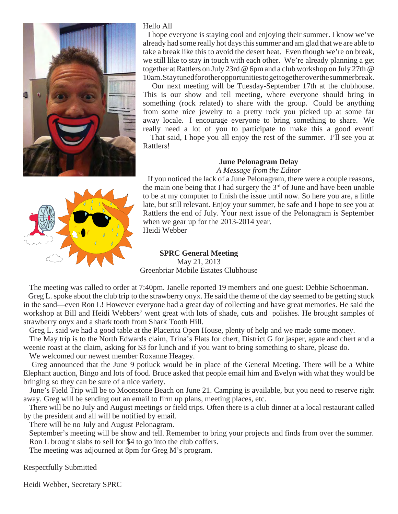

#### Hello All

 I hope everyone is staying cool and enjoying their summer. I know we've already had some really hot days this summer and am glad that we are able to take a break like this to avoid the desert heat. Even though we're on break, we still like to stay in touch with each other. We're already planning a get together at Rattlers on July 23rd @ 6pm and a club workshop on July 27th @ 10am. Stay tuned for other opportunities to get together over the summer break.

 Our next meeting will be Tuesday-September 17th at the clubhouse. This is our show and tell meeting, where everyone should bring in something (rock related) to share with the group. Could be anything from some nice jewelry to a pretty rock you picked up at some far away locale. I encourage everyone to bring something to share. We really need a lot of you to participate to make this a good event!

 That said, I hope you all enjoy the rest of the summer. I'll see you at Rattlers!

#### **June Pelonagram Delay**

*A Message from the Editor*

 If you noticed the lack of a June Pelonagram, there were a couple reasons, the main one being that I had surgery the  $3<sup>rd</sup>$  of June and have been unable to be at my computer to finish the issue until now. So here you are, a little late, but still relevant. Enjoy your summer, be safe and I hope to see you at Rattlers the end of July. Your next issue of the Pelonagram is September when we gear up for the 2013-2014 year. Heidi Webber



## **SPRC General Meeting**

May 21, 2013 Greenbriar Mobile Estates Clubhouse

 The meeting was called to order at 7:40pm. Janelle reported 19 members and one guest: Debbie Schoenman. Greg L. spoke about the club trip to the strawberry onyx. He said the theme of the day seemed to be getting stuck in the sand—even Ron L! However everyone had a great day of collecting and have great memories. He said the workshop at Bill and Heidi Webbers' went great with lots of shade, cuts and polishes. He brought samples of strawberry onyx and a shark tooth from Shark Tooth Hill.

 Greg L. said we had a good table at the Placerita Open House, plenty of help and we made some money. The May trip is to the North Edwards claim, Trina's Flats for chert, District G for jasper, agate and chert and a weenie roast at the claim, asking for \$3 for lunch and if you want to bring something to share, please do.

We welcomed our newest member Roxanne Heagey.

 Greg announced that the June 9 potluck would be in place of the General Meeting. There will be a White Elephant auction, Bingo and lots of food. Bruce asked that people email him and Evelyn with what they would be bringing so they can be sure of a nice variety.

 June's Field Trip will be to Moonstone Beach on June 21. Camping is available, but you need to reserve right away. Greg will be sending out an email to firm up plans, meeting places, etc.

 There will be no July and August meetings or field trips. Often there is a club dinner at a local restaurant called by the president and all will be notified by email.

There will be no July and August Pelonagram.

 September's meeting will be show and tell. Remember to bring your projects and finds from over the summer. Ron L brought slabs to sell for \$4 to go into the club coffers.

The meeting was adjourned at 8pm for Greg M's program.

Respectfully Submitted

Heidi Webber, Secretary SPRC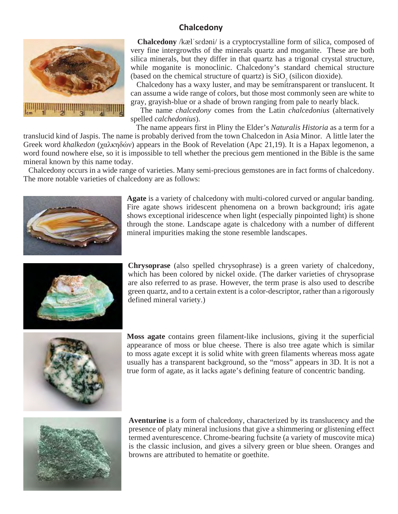## **Chalcedony**



 **Chalcedony** /kælˈsɛdəni/ is a cryptocrystalline form of silica, composed of very fine intergrowths of the minerals quartz and moganite. These are both silica minerals, but they differ in that quartz has a trigonal crystal structure, while moganite is monoclinic. Chalcedony's standard chemical structure (based on the chemical structure of quartz) is  $SiO_2$  (silicon dioxide).

 Chalcedony has a waxy luster, and may be semitransparent or translucent. It can assume a wide range of colors, but those most commonly seen are white to gray, grayish-blue or a shade of brown ranging from pale to nearly black.

 The name *chalcedony* comes from the Latin *chalcedonius* (alternatively spelled *calchedonius*).

 The name appears first in Pliny the Elder's *Naturalis Historia* as a term for a translucid kind of Jaspis. The name is probably derived from the town Chalcedon in Asia Minor. A little later the Greek word *khalkedon* (χαλκηδών) appears in the Book of Revelation (Apc 21,19). It is a Hapax legomenon, a word found nowhere else, so it is impossible to tell whether the precious gem mentioned in the Bible is the same mineral known by this name today.

 Chalcedony occurs in a wide range of varieties. Many semi-precious gemstones are in fact forms of chalcedony. The more notable varieties of chalcedony are as follows:



**Agate** is a variety of chalcedony with multi-colored curved or angular banding. Fire agate shows iridescent phenomena on a brown background; iris agate shows exceptional iridescence when light (especially pinpointed light) is shone through the stone. Landscape agate is chalcedony with a number of different mineral impurities making the stone resemble landscapes.



**Chrysoprase** (also spelled chrysophrase) is a green variety of chalcedony, which has been colored by nickel oxide. (The darker varieties of chrysoprase are also referred to as prase. However, the term prase is also used to describe green quartz, and to a certain extent is a color-descriptor, rather than a rigorously defined mineral variety.)



**Moss agate** contains green filament-like inclusions, giving it the superficial appearance of moss or blue cheese. There is also tree agate which is similar to moss agate except it is solid white with green filaments whereas moss agate usually has a transparent background, so the "moss" appears in 3D. It is not a true form of agate, as it lacks agate's defining feature of concentric banding.



**Aventurine** is a form of chalcedony, characterized by its translucency and the presence of platy mineral inclusions that give a shimmering or glistening effect termed aventurescence. Chrome-bearing fuchsite (a variety of muscovite mica) is the classic inclusion, and gives a silvery green or blue sheen. Oranges and browns are attributed to hematite or goethite.